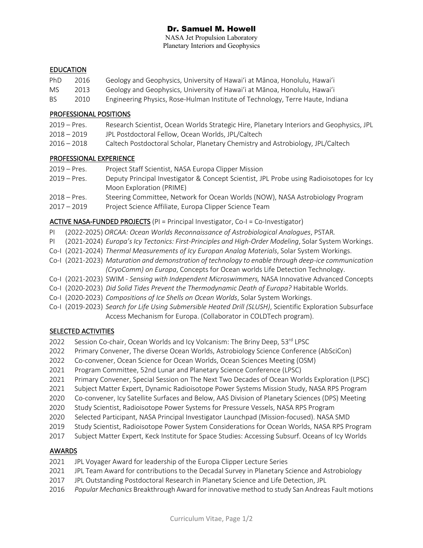# Dr. Samuel M. Howell

NASA Jet Propulsion Laboratory Planetary Interiors and Geophysics

#### EDUCATION

- PhD 2016 Geology and Geophysics, University of Hawaiʻi at Mānoa, Honolulu, Hawaiʻi
- MS 2013 Geology and Geophysics, University of Hawaiʻi at Mānoa, Honolulu, Hawaiʻi
- BS 2010 Engineering Physics, Rose-Hulman Institute of Technology, Terre Haute, Indiana

### PROFESSIONAL POSITIONS

- 2019 Pres. Research Scientist, Ocean Worlds Strategic Hire, Planetary Interiors and Geophysics, JPL 2018 – 2019 JPL Postdoctoral Fellow, Ocean Worlds, JPL/Caltech
- 2016 2018 Caltech Postdoctoral Scholar, Planetary Chemistry and Astrobiology, JPL/Caltech

### PROFESSIONAL EXPERIENCE

| $2019 - Pres.$ | Project Staff Scientist, NASA Europa Clipper Mission                                     |
|----------------|------------------------------------------------------------------------------------------|
| $2019 - Pres.$ | Deputy Principal Investigator & Concept Scientist, JPL Probe using Radioisotopes for Icy |
|                | Moon Exploration (PRIME)                                                                 |
| $2018 - Pres.$ | Steering Committee, Network for Ocean Worlds (NOW), NASA Astrobiology Program            |
| 2017 – 2019    | Project Science Affiliate, Europa Clipper Science Team                                   |

### ACTIVE NASA-FUNDED PROJECTS (PI = Principal Investigator, Co-I = Co-Investigator)

- PI (2022-2025) *ORCAA: Ocean Worlds Reconnaissance of Astrobiological Analogues*, PSTAR*.*
- PI (2021-2024) *Europa's Icy Tectonics: First-Principles and High-Order Modeling*, Solar System Workings.
- Co-I (2021-2024) *Thermal Measurements of Icy Europan Analog Materials*, Solar System Workings.
- Co-I (2021-2023) *Maturation and demonstration of technology to enable through deep-ice communication (CryoComm) on Europa*, Concepts for Ocean worlds Life Detection Technology.
- Co-I (2021-2023) SWIM *Sensing with Independent Microswimmers,* NASA Innovative Advanced Concepts
- Co-I (2020-2023) *Did Solid Tides Prevent the Thermodynamic Death of Europa?* Habitable Worlds.
- Co-I (2020-2023) *Compositions of Ice Shells on Ocean Worlds*, Solar System Workings.
- Co-I (2019-2023) *Search for Life Using Submersible Heated Drill (SLUSH)*, Scientific Exploration Subsurface Access Mechanism for Europa. (Collaborator in COLDTech program).

### SELECTED ACTIVITIES

- 2022 Session Co-chair, Ocean Worlds and Icy Volcanism: The Briny Deep, 53rd LPSC
- 2022 Primary Convener, The diverse Ocean Worlds, Astrobiology Science Conference (AbSciCon)
- 2022 Co-convener, Ocean Science for Ocean Worlds, Ocean Sciences Meeting (OSM)
- 2021 Program Committee, 52nd Lunar and Planetary Science Conference (LPSC)
- 2021 Primary Convener, Special Session on The Next Two Decades of Ocean Worlds Exploration (LPSC)
- 2021 Subject Matter Expert, Dynamic Radioisotope Power Systems Mission Study, NASA RPS Program
- 2020 Co-convener, Icy Satellite Surfaces and Below, AAS Division of Planetary Sciences (DPS) Meeting
- 2020 Study Scientist, Radioisotope Power Systems for Pressure Vessels, NASA RPS Program
- 2020 Selected Participant, NASA Principal Investigator Launchpad (Mission-focused). NASA SMD
- 2019 Study Scientist, Radioisotope Power System Considerations for Ocean Worlds, NASA RPS Program
- 2017 Subject Matter Expert, Keck Institute for Space Studies: Accessing Subsurf. Oceans of Icy Worlds

### AWARDS

- 2021 JPL Voyager Award for leadership of the Europa Clipper Lecture Series
- 2021 JPL Team Award for contributions to the Decadal Survey in Planetary Science and Astrobiology
- 2017 JPL Outstanding Postdoctoral Research in Planetary Science and Life Detection, JPL
- 2016 *Popular Mechanics* Breakthrough Award for innovative method to study San Andreas Fault motions